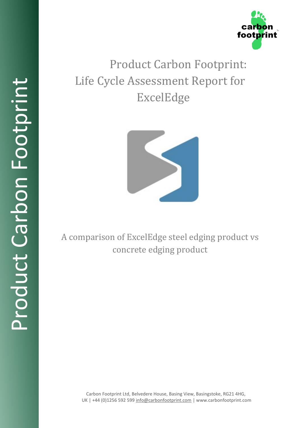

# Product Carbon Footprint: Life Cycle Assessment Report for ExcelEdge



A comparison of ExcelEdge steel edging product vs concrete edging product

> Carbon Footprint Ltd, Belvedere House, Basing View, Basingstoke, RG21 4HG, UK | +44 (0)1256 592 599 [info@carbonfootprint.com](mailto:info@carbonfootprint.com) | www.carbonfootprint.com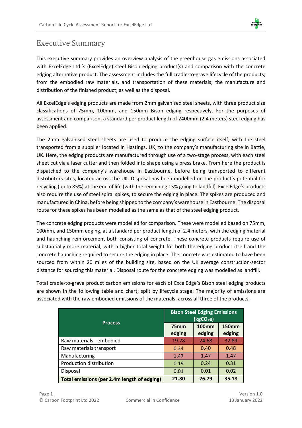

### <span id="page-1-0"></span>Executive Summary

This executive summary provides an overview analysis of the greenhouse gas emissions associated with ExcelEdge Ltd.'s (ExcelEdge) steel Bison edging product(s) and comparison with the concrete edging alternative product. The assessment includes the full cradle-to-grave lifecycle of the products; from the embodied raw materials, and transportation of these materials; the manufacture and distribution of the finished product; as well as the disposal.

All ExcelEdge's edging products are made from 2mm galvanised steel sheets, with three product size classifications of 75mm, 100mm, and 150mm Bison edging respectively. For the purposes of assessment and comparison, a standard per product length of 2400mm (2.4 meters) steel edging has been applied.

The 2mm galvanised steel sheets are used to produce the edging surface itself, with the steel transported from a supplier located in Hastings, UK, to the company's manufacturing site in Battle, UK. Here, the edging products are manufactured through use of a two-stage process, with each steel sheet cut via a laser cutter and then folded into shape using a press brake. From here the product is dispatched to the company's warehouse in Eastbourne, before being transported to different distributors sites, located across the UK. Disposal has been modelled on the product's potential for recycling (up to 85%) at the end of life (with the remaining 15% going to landfill). ExcelEdge's products also require the use of steel spiral spikes, to secure the edging in place. The spikes are produced and manufactured in China, before being shipped to the company's warehouse in Eastbourne. The disposal route for these spikes has been modelled as the same as that of the steel edging product.

The concrete edging products were modelled for comparison. These were modelled based on 75mm, 100mm, and 150mm edging, at a standard per product length of 2.4 meters, with the edging material and haunching reinforcement both consisting of concrete. These concrete products require use of substantially more material, with a higher total weight for both the edging product itself and the concrete haunching required to secure the edging in place. The concrete was estimated to have been sourced from within 20 miles of the building site, based on the UK average construction-sector distance for sourcing this material. Disposal route for the concrete edging was modelled as landfill.

Total cradle-to-grave product carbon emissions for each of ExcelEdge's Bison steel edging products are shown in the following table and chart; split by lifecycle stage: The majority of emissions are associated with the raw embodied emissions of the materials, across all three of the products.

| <b>Process</b>                              | <b>Bison Steel Edging Emissions</b><br>(kgCO <sub>2</sub> e) |                        |                        |
|---------------------------------------------|--------------------------------------------------------------|------------------------|------------------------|
|                                             | 75 <sub>mm</sub><br>edging                                   | <b>100mm</b><br>edging | <b>150mm</b><br>edging |
| Raw materials - embodied                    | 19.78                                                        | 24.68                  | 32.89                  |
| Raw materials transport                     | 0.34                                                         | 0.40                   | 0.48                   |
| Manufacturing                               | 1.47                                                         | 1.47                   | 1.47                   |
| Production distribution                     | 0.19                                                         | 0.24                   | 0.31                   |
| Disposal                                    | 0.01                                                         | 0.01                   | 0.02                   |
| Total emissions (per 2.4m length of edging) | 21.80                                                        | 26.79                  | 35.18                  |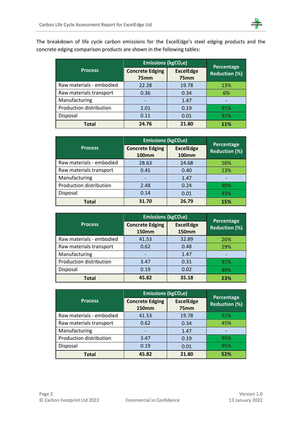

The breakdown of life cycle carbon emissions for the ExcelEdge's steel edging products and the concrete edging comparison products are shown in the following tables:

|                          | <b>Emissions (kgCO<sub>2</sub>e)</b>       |                          | Percentage           |  |
|--------------------------|--------------------------------------------|--------------------------|----------------------|--|
| <b>Process</b>           | <b>Concrete Edging</b><br>75 <sub>mm</sub> | <b>ExcelEdge</b><br>75mm | <b>Reduction (%)</b> |  |
| Raw materials - embodied | 22.28                                      | 19.78                    | 13%                  |  |
| Raw materials transport  | 0.36                                       | 0.34                     | 6%                   |  |
| Manufacturing            |                                            | 1.47                     |                      |  |
| Production distribution  | 2.01                                       | 0.19                     | 91%                  |  |
| Disposal                 | 0.11                                       | 0.01                     | 91%                  |  |
| <b>Total</b>             | 24.76                                      | 21.80                    | 11%                  |  |

|                          | <b>Emissions (kgCO<sub>2</sub>e)</b>   |                                  | Percentage           |  |
|--------------------------|----------------------------------------|----------------------------------|----------------------|--|
| <b>Process</b>           | <b>Concrete Edging</b><br><b>100mm</b> | <b>ExcelEdge</b><br><b>100mm</b> | <b>Reduction (%)</b> |  |
| Raw materials - embodied | 28.63                                  | 24.68                            | 16%                  |  |
| Raw materials transport  | 0.45                                   | 0.40                             | 13%                  |  |
| Manufacturing            |                                        | 1.47                             |                      |  |
| Production distribution  | 2.48                                   | 0.24                             | 90%                  |  |
| Disposal                 | 0.14                                   | 0.01                             | 93%                  |  |
| Total                    | 31.70                                  | 26.79                            | 15%                  |  |

|                          | <b>Emissions (kgCO<sub>2</sub>e)</b>   |                                  | Percentage           |  |
|--------------------------|----------------------------------------|----------------------------------|----------------------|--|
| <b>Process</b>           | <b>Concrete Edging</b><br><b>150mm</b> | <b>ExcelEdge</b><br><b>150mm</b> | <b>Reduction (%)</b> |  |
| Raw materials - embodied | 41.53                                  | 32.89                            | 26%                  |  |
| Raw materials transport  | 0.62                                   | 0.48                             | 29%                  |  |
| Manufacturing            |                                        | 1.47                             |                      |  |
| Production distribution  | 3.47                                   | 0.31                             | 91%                  |  |
| Disposal                 | 0.19                                   | 0.02                             | 89%                  |  |
| Total                    | 45.82                                  | 35.18                            | 23%                  |  |

|                          | <b>Emissions (kgCO<sub>2</sub>e)</b>   |                          | Percentage           |  |
|--------------------------|----------------------------------------|--------------------------|----------------------|--|
| <b>Process</b>           | <b>Concrete Edging</b><br><b>150mm</b> | <b>ExcelEdge</b><br>75mm | <b>Reduction (%)</b> |  |
| Raw materials - embodied | 41.53                                  | 19.78                    | 52%                  |  |
| Raw materials transport  | 0.62                                   | 0.34                     | 45%                  |  |
| Manufacturing            |                                        | 1.47                     |                      |  |
| Production distribution  | 3.47                                   | 0.19                     | 95%                  |  |
| Disposal                 | 0.19                                   | 0.01                     | 95%                  |  |
| <b>Total</b>             | 45.82                                  | 21.80                    | 52%                  |  |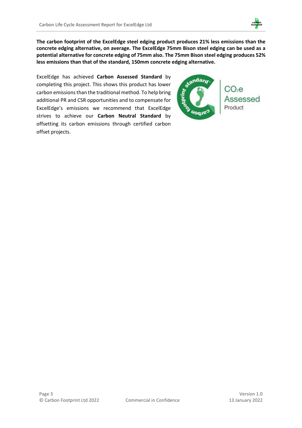

**The carbon footprint of the ExcelEdge steel edging product produces 21% less emissions than the concrete edging alternative, on average. The ExcelEdge 75mm Bison steel edging can be used as a potential alternative for concrete edging of 75mm also. The 75mm Bison steel edging produces 52% less emissions than that of the standard, 150mm concrete edging alternative.** 

ExcelEdge has achieved **Carbon Assessed Standard** by completing this project. This shows this product has lower carbon emissions than the traditional method. To help bring additional PR and CSR opportunities and to compensate for ExcelEdge's emissions we recommend that ExcelEdge strives to achieve our **Carbon Neutral Standard** by offsetting its carbon emissions through certified carbon offset projects.

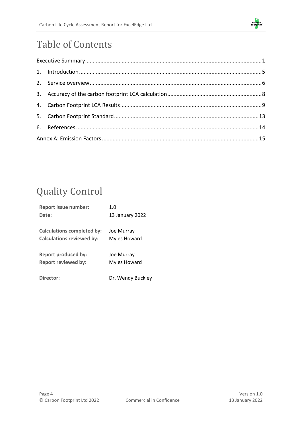

# Table of Contents

# Quality Control

| <b>Report issue number:</b>       | 1.0               |
|-----------------------------------|-------------------|
| Date:                             | 13 January 2022   |
| <b>Calculations completed by:</b> | Joe Murray        |
| <b>Calculations reviewed by:</b>  | Myles Howard      |
| <b>Report produced by:</b>        | Joe Murray        |
| <b>Report reviewed by:</b>        | Myles Howard      |
| Director:                         | Dr. Wendy Buckley |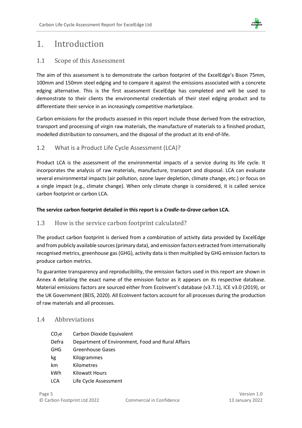

## <span id="page-5-0"></span>1. Introduction

### 1.1 Scope of this Assessment

The aim of this assessment is to demonstrate the carbon footprint of the ExcelEdge's Bison 75mm, 100mm and 150mm steel edging and to compare it against the emissions associated with a concrete edging alternative. This is the first assessment ExcelEdge has completed and will be used to demonstrate to their clients the environmental credentials of their steel edging product and to differentiate their service in an increasingly competitive marketplace.

Carbon emissions for the products assessed in this report include those derived from the extraction, transport and processing of virgin raw materials, the manufacture of materials to a finished product, modelled distribution to consumers, and the disposal of the product at its end-of-life.

### 1.2 What is a Product Life Cycle Assessment (LCA)?

Product LCA is the assessment of the environmental impacts of a service during its life cycle. It incorporates the analysis of raw materials, manufacture, transport and disposal. LCA can evaluate several environmental impacts (air pollution, ozone layer depletion, climate change, etc.) or focus on a single impact (e.g., climate change). When only climate change is considered, it is called service carbon footprint or carbon LCA.

### **The service carbon footprint detailed in this report is a** *Cradle-to-Grave* **carbon LCA.**

### 1.3 How is the service carbon footprint calculated?

The product carbon footprint is derived from a combination of activity data provided by ExcelEdge and from publicly available sources (primary data), and emission factors extracted from internationally recognised metrics, greenhouse gas (GHG), activity data is then multiplied by GHG emission factors to produce carbon metrics.

To guarantee transparency and reproducibility, the emission factors used in this report are shown in Annex A detailing the exact name of the emission factor as it appears on its respective database. Material emissions factors are sourced either from EcoInvent's database (v3.7.1), ICE v3.0 (2019), or the UK Government (BEIS, 2020). All EcoInvent factors account for all processes during the production of raw materials and all processes.

### 1.4 Abbreviations

| CO <sub>2</sub> e | Carbon Dioxide Equivalent                         |
|-------------------|---------------------------------------------------|
| Defra             | Department of Environment, Food and Rural Affairs |
| GHG               | Greenhouse Gases                                  |
| kg                | Kilogrammes                                       |
| km                | Kilometres                                        |
| kWh               | Kilowatt Hours                                    |
| LCA               | Life Cycle Assessment                             |
|                   |                                                   |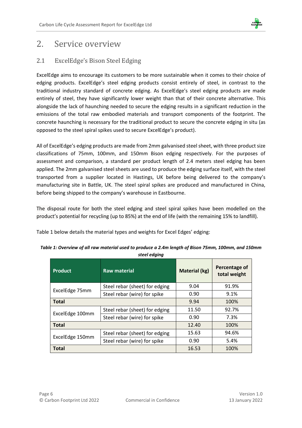

### <span id="page-6-0"></span>2. Service overview

### 2.1 ExcelEdge's Bison Steel Edging

ExcelEdge aims to encourage its customers to be more sustainable when it comes to their choice of edging products. ExcelEdge's steel edging products consist entirely of steel, in contrast to the traditional industry standard of concrete edging. As ExcelEdge's steel edging products are made entirely of steel, they have significantly lower weight than that of their concrete alternative. This alongside the lack of haunching needed to secure the edging results in a significant reduction in the emissions of the total raw embodied materials and transport components of the footprint. The concrete haunching is necessary for the traditional product to secure the concrete edging in situ (as opposed to the steel spiral spikes used to secure ExcelEdge's product).

All of ExcelEdge's edging products are made from 2mm galvanised steel sheet, with three product size classifications of 75mm, 100mm, and 150mm Bison edging respectively. For the purposes of assessment and comparison, a standard per product length of 2.4 meters steel edging has been applied. The 2mm galvanised steel sheets are used to produce the edging surface itself, with the steel transported from a supplier located in Hastings, UK before being delivered to the company's manufacturing site in Battle, UK. The steel spiral spikes are produced and manufactured in China, before being shipped to the company's warehouse in Eastbourne.

The disposal route for both the steel edging and steel spiral spikes have been modelled on the product's potential for recycling (up to 85%) at the end of life (with the remaining 15% to landfill).

Table 1 below details the material types and weights for Excel Edges' edging:

| Product         | <b>Raw material</b>            | <b>Material (kg)</b> | Percentage of<br>total weight |
|-----------------|--------------------------------|----------------------|-------------------------------|
|                 | Steel rebar (sheet) for edging | 9.04                 | 91.9%                         |
| ExcelEdge 75mm  | Steel rebar (wire) for spike   | 0.90                 | 9.1%                          |
| <b>Total</b>    |                                | 9.94                 | 100%                          |
| ExcelEdge 100mm | Steel rebar (sheet) for edging | 11.50                | 92.7%                         |
|                 | Steel rebar (wire) for spike   | 0.90                 | 7.3%                          |
| <b>Total</b>    |                                | 12.40                | 100%                          |
|                 | Steel rebar (sheet) for edging | 15.63                | 94.6%                         |
| ExcelEdge 150mm | Steel rebar (wire) for spike   | 0.90                 | 5.4%                          |
| <b>Total</b>    |                                | 16.53                | 100%                          |

| Table 1: Overview of all raw material used to produce a 2.4m length of Bison 75mm, 100mm, and 150mm |
|-----------------------------------------------------------------------------------------------------|
| steel edaina                                                                                        |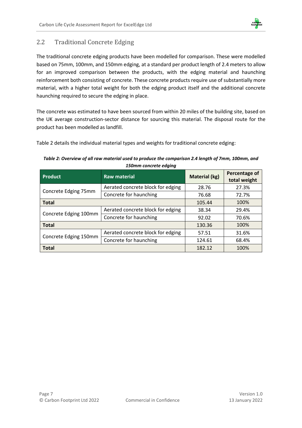

### 2.2 Traditional Concrete Edging

The traditional concrete edging products have been modelled for comparison. These were modelled based on 75mm, 100mm, and 150mm edging, at a standard per product length of 2.4 meters to allow for an improved comparison between the products, with the edging material and haunching reinforcement both consisting of concrete. These concrete products require use of substantially more material, with a higher total weight for both the edging product itself and the additional concrete haunching required to secure the edging in place.

The concrete was estimated to have been sourced from within 20 miles of the building site, based on the UK average construction-sector distance for sourcing this material. The disposal route for the product has been modelled as landfill.

Table 2 details the individual material types and weights for traditional concrete edging:

#### *Table 2: Overview of all raw material used to produce the comparison 2.4 length of 7mm, 100mm, and 150mm concrete edging*

| <b>Product</b>        | <b>Raw material</b>               | <b>Material (kg)</b> | Percentage of<br>total weight |
|-----------------------|-----------------------------------|----------------------|-------------------------------|
|                       | Aerated concrete block for edging | 28.76                | 27.3%                         |
| Concrete Edging 75mm  | Concrete for haunching            | 76.68                | 72.7%                         |
| <b>Total</b>          |                                   | 105.44               | 100%                          |
| Concrete Edging 100mm | Aerated concrete block for edging | 38.34                | 29.4%                         |
|                       | Concrete for haunching            | 92.02                | 70.6%                         |
| <b>Total</b>          |                                   | 130.36               | 100%                          |
| Concrete Edging 150mm | Aerated concrete block for edging | 57.51                | 31.6%                         |
|                       | Concrete for haunching            | 124.61               | 68.4%                         |
| <b>Total</b>          |                                   | 182.12               | 100%                          |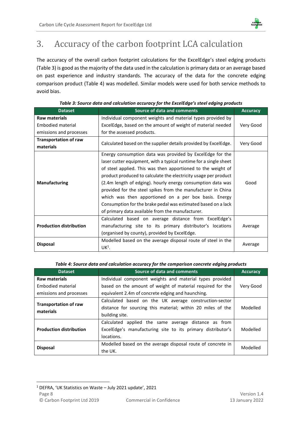

# <span id="page-8-0"></span>3. Accuracy of the carbon footprint LCA calculation

The accuracy of the overall carbon footprint calculations for the ExcelEdge's steel edging products (Table 3) is good as the majority of the data used in the calculation is primary data or an average based on past experience and industry standards. The accuracy of the data for the concrete edging comparison product (Table 4) was modelled. Similar models were used for both service methods to avoid bias.

| <b>Dataset</b>                 | <b>Source of data and comments</b>                                | <b>Accuracy</b> |
|--------------------------------|-------------------------------------------------------------------|-----------------|
| <b>Raw materials</b>           | Individual component weights and material types provided by       |                 |
| Embodied material              | ExcelEdge, based on the amount of weight of material needed       | Very Good       |
| emissions and processes        | for the assessed products.                                        |                 |
| <b>Transportation of raw</b>   |                                                                   |                 |
| materials                      | Calculated based on the supplier details provided by ExcelEdge.   | Very Good       |
|                                | Energy consumption data was provided by ExcelEdge for the         |                 |
|                                | laser cutter equipment, with a typical runtime for a single sheet |                 |
|                                | of steel applied. This was then apportioned to the weight of      |                 |
|                                | product produced to calculate the electricity usage per product   |                 |
| <b>Manufacturing</b>           | (2.4m length of edging). hourly energy consumption data was       | Good            |
|                                | provided for the steel spikes from the manufacturer in China      |                 |
|                                | which was then apportioned on a per box basis. Energy             |                 |
|                                | Consumption for the brake pedal was estimated based on a lack     |                 |
|                                | of primary data available from the manufacturer.                  |                 |
|                                | Calculated based on average distance from ExcelEdge's             |                 |
| <b>Production distribution</b> | manufacturing site to its primary distributor's locations         | Average         |
|                                | (organised by county), provided by ExcelEdge.                     |                 |
|                                | Modelled based on the average disposal route of steel in the      |                 |
| <b>Disposal</b>                | $UK1$ .                                                           | Average         |

### *Table 3: Source data and calculation accuracy for the ExcelEdge's steel edging products*

#### *Table 4: Source data and calculation accuracy for the comparison concrete edging products*

<span id="page-8-1"></span>

| <b>Dataset</b>                            | Source of data and comments                                 | <b>Accuracy</b> |
|-------------------------------------------|-------------------------------------------------------------|-----------------|
| Raw materials                             | Individual component weights and material types provided    |                 |
| Embodied material                         | based on the amount of weight of material required for the  | Very Good       |
| emissions and processes                   | equivalent 2.4m of concrete edging and haunching.           |                 |
|                                           | Calculated based on the UK average construction-sector      |                 |
| <b>Transportation of raw</b><br>materials | distance for sourcing this material; within 20 miles of the | Modelled        |
|                                           | building site.                                              |                 |
|                                           | Calculated<br>applied the same average distance as from     |                 |
| <b>Production distribution</b>            | ExcelEdge's manufacturing site to its primary distributor's | Modelled        |
|                                           | locations.                                                  |                 |
| <b>Disposal</b>                           | Modelled based on the average disposal route of concrete in | Modelled        |
|                                           | the UK.                                                     |                 |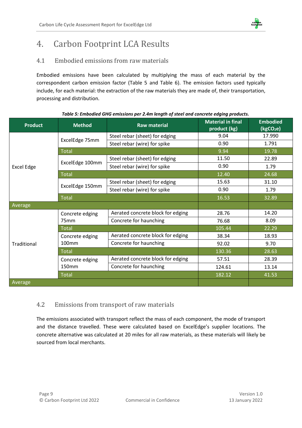

# 4. Carbon Footprint LCA Results

### 4.1 Embodied emissions from raw materials

Embodied emissions have been calculated by multiplying the mass of each material by the correspondent carbon emission factor (Table 5 and Table 6). The emission factors used typically include, for each material: the extraction of the raw materials they are made of, their transportation, processing and distribution.

| <b>Product</b> | <b>Method</b>     | <b>Raw material</b>               | <b>Material in final</b><br>product (kg) | <b>Embodied</b><br>(kgCO <sub>2</sub> e) |
|----------------|-------------------|-----------------------------------|------------------------------------------|------------------------------------------|
|                |                   | Steel rebar (sheet) for edging    | 9.04                                     | 17.990                                   |
|                | ExcelEdge 75mm    | Steel rebar (wire) for spike      | 0.90                                     | 1.791                                    |
|                | <b>Total</b>      |                                   | 9.94                                     | 19.78                                    |
|                | ExcelEdge 100mm   | Steel rebar (sheet) for edging    | 11.50                                    | 22.89                                    |
| Excel Edge     |                   | Steel rebar (wire) for spike      | 0.90                                     | 1.79                                     |
|                | <b>Total</b>      |                                   | 12.40                                    | 24.68                                    |
|                |                   | Steel rebar (sheet) for edging    | 15.63                                    | 31.10                                    |
|                | ExcelEdge 150mm   | Steel rebar (wire) for spike      | 0.90                                     | 1.79                                     |
| <b>Total</b>   |                   |                                   | 16.53                                    | 32.89                                    |
| Average        |                   |                                   |                                          |                                          |
| Traditional    | Concrete edging   | Aerated concrete block for edging | 28.76                                    | 14.20                                    |
|                | 75 <sub>mm</sub>  | Concrete for haunching            | 76.68                                    | 8.09                                     |
|                | <b>Total</b>      |                                   | 105.44                                   | 22.29                                    |
|                | Concrete edging   | Aerated concrete block for edging | 38.34                                    | 18.93                                    |
|                | 100 <sub>mm</sub> | Concrete for haunching            | 92.02                                    | 9.70                                     |
|                | <b>Total</b>      |                                   | 130.36                                   | 28.63                                    |
|                | Concrete edging   | Aerated concrete block for edging | 57.51                                    | 28.39                                    |
|                | 150mm             | Concrete for haunching            | 124.61                                   | 13.14                                    |
|                | <b>Total</b>      |                                   | 182.12                                   | 41.53                                    |
| Average        |                   |                                   |                                          |                                          |

#### *Table 5: Embodied GHG emissions per 2.4m length of steel and concrete edging products.*

### 4.2 Emissions from transport of raw materials

The emissions associated with transport reflect the mass of each component, the mode of transport and the distance travelled. These were calculated based on ExcelEdge's supplier locations. The concrete alternative was calculated at 20 miles for all raw materials, as these materials will likely be sourced from local merchants.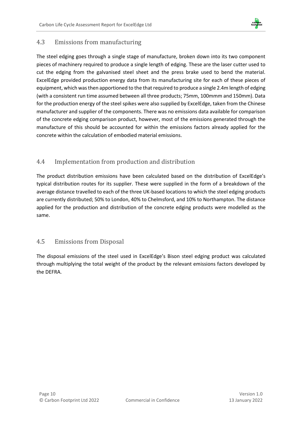

### 4.3 Emissions from manufacturing

The steel edging goes through a single stage of manufacture, broken down into its two component pieces of machinery required to produce a single length of edging. These are the laser cutter used to cut the edging from the galvanised steel sheet and the press brake used to bend the material. ExcelEdge provided production energy data from its manufacturing site for each of these pieces of equipment, which was then apportioned to the that required to produce a single 2.4m length of edging (with a consistent run time assumed between all three products; 75mm, 100mmm and 150mm). Data for the production energy of the steel spikes were also supplied by ExcelEdge, taken from the Chinese manufacturer and supplier of the components. There was no emissions data available for comparison of the concrete edging comparison product, however, most of the emissions generated through the manufacture of this should be accounted for within the emissions factors already applied for the concrete within the calculation of embodied material emissions.

### 4.4 Implementation from production and distribution

The product distribution emissions have been calculated based on the distribution of ExcelEdge's typical distribution routes for its supplier. These were supplied in the form of a breakdown of the average distance travelled to each of the three UK-based locations to which the steel edging products are currently distributed; 50% to London, 40% to Chelmsford, and 10% to Northampton. The distance applied for the production and distribution of the concrete edging products were modelled as the same.

### 4.5 Emissions from Disposal

The disposal emissions of the steel used in ExcelEdge's Bison steel edging product was calculated through multiplying the total weight of the product by the relevant emissions factors developed by the DEFRA.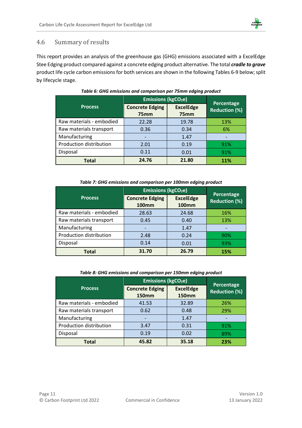

### 4.6 Summary of results

This report provides an analysis of the greenhouse gas (GHG) emissions associated with a ExcelEdge Stee Edging product compared against a concrete edging product alternative. The total *cradle to grave* product life cycle carbon emissions for both services are shown in the following Tables 6-9 below; split by lifecycle stage.

|                          | <b>Emissions (kgCO<sub>2</sub>e)</b>       | Percentage                           |                      |  |
|--------------------------|--------------------------------------------|--------------------------------------|----------------------|--|
| <b>Process</b>           | <b>Concrete Edging</b><br>75 <sub>mm</sub> | <b>ExcelEdge</b><br>75 <sub>mm</sub> | <b>Reduction (%)</b> |  |
| Raw materials - embodied | 22.28                                      | 19.78                                | 13%                  |  |
| Raw materials transport  | 0.36                                       | 0.34                                 | 6%                   |  |
| Manufacturing            |                                            | 1.47                                 |                      |  |
| Production distribution  | 2.01                                       | 0.19                                 | 91%                  |  |
| Disposal                 | 0.11                                       | 0.01                                 | 91%                  |  |
| <b>Total</b>             | 24.76                                      | 21.80                                | 11%                  |  |

#### *Table 6: GHG emissions and comparison per 75mm edging product*

#### *Table 7: GHG emissions and comparison per 100mm edging product*

|                          | <b>Emissions (kgCO<sub>2</sub>e)</b>   | Percentage                       |                      |  |
|--------------------------|----------------------------------------|----------------------------------|----------------------|--|
| <b>Process</b>           | <b>Concrete Edging</b><br><b>100mm</b> | <b>ExcelEdge</b><br><b>100mm</b> | <b>Reduction (%)</b> |  |
| Raw materials - embodied | 28.63                                  | 24.68                            | 16%                  |  |
| Raw materials transport  | 0.45                                   | 0.40                             | 13%                  |  |
| Manufacturing            |                                        | 1.47                             |                      |  |
| Production distribution  | 2.48                                   | 0.24                             | 90%                  |  |
| Disposal                 | 0.14                                   | 0.01                             | 93%                  |  |
| <b>Total</b>             | 31.70                                  | 26.79                            | 15%                  |  |

#### *Table 8: GHG emissions and comparison per 150mm edging product*

|                          | <b>Emissions (kgCO<sub>2</sub>e)</b>   | Percentage                       |                      |  |
|--------------------------|----------------------------------------|----------------------------------|----------------------|--|
| <b>Process</b>           | <b>Concrete Edging</b><br><b>150mm</b> | <b>ExcelEdge</b><br><b>150mm</b> | <b>Reduction (%)</b> |  |
| Raw materials - embodied | 41.53                                  | 32.89                            | 26%                  |  |
| Raw materials transport  | 0.62                                   | 0.48                             | 29%                  |  |
| Manufacturing            |                                        | 1.47                             |                      |  |
| Production distribution  | 3.47                                   | 0.31                             | 91%                  |  |
| Disposal                 | 0.19                                   | 0.02                             | 89%                  |  |
| Total                    | 45.82                                  | 35.18                            | 23%                  |  |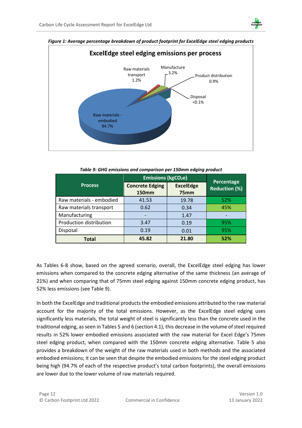



*Figure 1: Average percentage breakdown of product footprint for ExcelEdge steel edging products*

| Table 9: GHG emissions and comparison per 150mm edging product |                                      |  |  |  |
|----------------------------------------------------------------|--------------------------------------|--|--|--|
|                                                                | <b>Emissions (kgCO<sub>2</sub>e)</b> |  |  |  |

|                          | <b>Emissions (kgCO<sub>2</sub>e)</b>   | Percentage                           |                      |  |
|--------------------------|----------------------------------------|--------------------------------------|----------------------|--|
| <b>Process</b>           | <b>Concrete Edging</b><br><b>150mm</b> | <b>ExcelEdge</b><br>75 <sub>mm</sub> | <b>Reduction (%)</b> |  |
| Raw materials - embodied | 41.53                                  | 19.78                                | 52%                  |  |
| Raw materials transport  | 0.62                                   | 0.34                                 | 45%                  |  |
| Manufacturing            |                                        | 1.47                                 |                      |  |
| Production distribution  | 3.47                                   | 0.19                                 | 95%                  |  |
| Disposal                 | 0.19                                   | 0.01                                 | 95%                  |  |
| Total                    | 45.82                                  | 21.80                                | 52%                  |  |

As Tables 6-8 show, based on the agreed scenario, overall, the ExcelEdge steel edging has lower emissions when compared to the concrete edging alternative of the same thickness (an average of 21%) and when comparing that of 75mm steel edging against 150mm concrete edging product, has 52% less emissions (see Table 9).

In both the ExcelEdge and traditional products the embodied emissions attributed to the raw material account for the majority of the total emissions. However, as the ExcelEdge steel edging uses significantly less materials, the total weight of steel is significantly less than the concrete used in the traditional edging, as seen in Tables 5 and 6 (section 4.1), this decrease in the volume of steel required results in 52% lower embodied emissions associated with the raw material for Excel Edge's 75mm steel edging product, when compared with the 150mm concrete edging alternative. Table 5 also provides a breakdown of the weight of the raw materials used in both methods and the associated embodied emissions; it can be seen that despite the embodied emissions for the steel edging product being high (94.7% of each of the respective product's total carbon footprints), the overall emissions are lower due to the lower volume of raw materials required.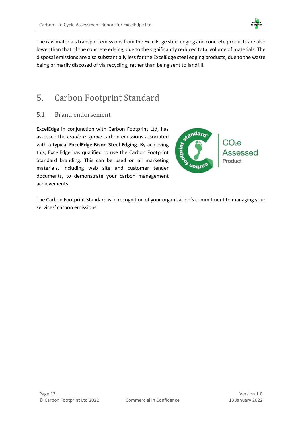

The raw materials transport emissions from the ExcelEdge steel edging and concrete products are also lower than that of the concrete edging, due to the significantly reduced total volume of materials. The disposal emissions are also substantially less for the ExcelEdge steel edging products, due to the waste being primarily disposed of via recycling, rather than being sent to landfill.

# <span id="page-13-0"></span>5. Carbon Footprint Standard

### 5.1 Brand endorsement

ExcelEdge in conjunction with Carbon Footprint Ltd, has assessed the *cradle-to-grave* carbon emissions associated with a typical **ExcelEdge Bison Steel Edging**. By achieving this, ExcelEdge has qualified to use the Carbon Footprint Standard branding. This can be used on all marketing materials, including web site and customer tender documents, to demonstrate your carbon management achievements.



The Carbon Footprint Standard is in recognition of your organisation's commitment to managing your services' carbon emissions.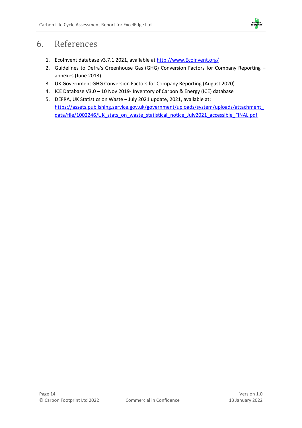

## <span id="page-14-0"></span>6. References

- 1. EcoInvent database v3.7.1 2021, available at [http://www.Ecoinvent.org/](http://www.ecoinvent.org/)
- 2. Guidelines to Defra's Greenhouse Gas (GHG) Conversion Factors for Company Reporting annexes (June 2013)
- 3. UK Government GHG Conversion Factors for Company Reporting (August 2020)
- 4. ICE Database V3.0 10 Nov 2019- Inventory of Carbon & Energy (ICE) database
- 5. DEFRA, UK Statistics on Waste July 2021 update, 2021, available at; [https://assets.publishing.service.gov.uk/government/uploads/system/uploads/attachment\\_](https://assets.publishing.service.gov.uk/government/uploads/system/uploads/attachment_data/file/1002246/UK_stats_on_waste_statistical_notice_July2021_accessible_FINAL.pdf) [data/file/1002246/UK\\_stats\\_on\\_waste\\_statistical\\_notice\\_July2021\\_accessible\\_FINAL.pdf](https://assets.publishing.service.gov.uk/government/uploads/system/uploads/attachment_data/file/1002246/UK_stats_on_waste_statistical_notice_July2021_accessible_FINAL.pdf)